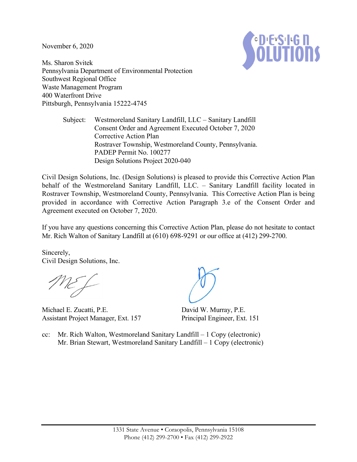November 6, 2020



Ms. Sharon Svitek Pennsylvania Department of Environmental Protection Southwest Regional Office Waste Management Program 400 Waterfront Drive Pittsburgh, Pennsylvania 15222-4745

> Subject: Westmoreland Sanitary Landfill, LLC – Sanitary Landfill Consent Order and Agreement Executed October 7, 2020 Corrective Action Plan Rostraver Township, Westmoreland County, Pennsylvania. PADEP Permit No. 100277 Design Solutions Project 2020-040

Civil Design Solutions, Inc. (Design Solutions) is pleased to provide this Corrective Action Plan behalf of the Westmoreland Sanitary Landfill, LLC. – Sanitary Landfill facility located in Rostraver Township, Westmoreland County, Pennsylvania. This Corrective Action Plan is being provided in accordance with Corrective Action Paragraph 3.e of the Consent Order and Agreement executed on October 7, 2020.

If you have any questions concerning this Corrective Action Plan, please do not hesitate to contact Mr. Rich Walton of Sanitary Landfill at (610) 698-9291 or our office at (412) 299-2700.

Sincerely, Civil Design Solutions, Inc.

Michael E. Zucatti, P.E. Assistant Project Manager, Ext. 157

David W. Murray, P.E. Principal Engineer, Ext. 151

cc: Mr. Rich Walton, Westmoreland Sanitary Landfill – 1 Copy (electronic) Mr. Brian Stewart, Westmoreland Sanitary Landfill – 1 Copy (electronic)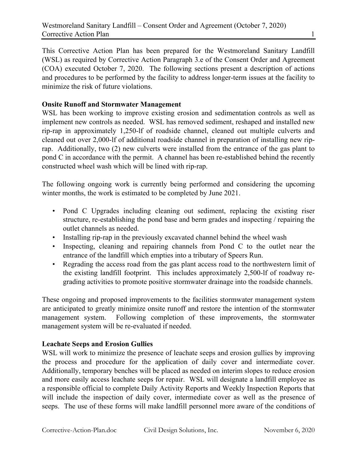This Corrective Action Plan has been prepared for the Westmoreland Sanitary Landfill (WSL) as required by Corrective Action Paragraph 3.e of the Consent Order and Agreement (COA) executed October 7, 2020. The following sections present a description of actions and procedures to be performed by the facility to address longer-term issues at the facility to minimize the risk of future violations.

## **Onsite Runoff and Stormwater Management**

WSL has been working to improve existing erosion and sedimentation controls as well as implement new controls as needed. WSL has removed sediment, reshaped and installed new rip-rap in approximately 1,250-lf of roadside channel, cleaned out multiple culverts and cleaned out over 2,000-lf of additional roadside channel in preparation of installing new riprap. Additionally, two (2) new culverts were installed from the entrance of the gas plant to pond C in accordance with the permit. A channel has been re-established behind the recently constructed wheel wash which will be lined with rip-rap.

The following ongoing work is currently being performed and considering the upcoming winter months, the work is estimated to be completed by June 2021.

- Pond C Upgrades including cleaning out sediment, replacing the existing riser structure, re-establishing the pond base and berm grades and inspecting / repairing the outlet channels as needed.
- Installing rip-rap in the previously excavated channel behind the wheel wash
- Inspecting, cleaning and repairing channels from Pond C to the outlet near the entrance of the landfill which empties into a tributary of Speers Run.
- Regrading the access road from the gas plant access road to the northwestern limit of the existing landfill footprint. This includes approximately 2,500-lf of roadway regrading activities to promote positive stormwater drainage into the roadside channels.

These ongoing and proposed improvements to the facilities stormwater management system are anticipated to greatly minimize onsite runoff and restore the intention of the stormwater management system. Following completion of these improvements, the stormwater management system will be re-evaluated if needed.

# **Leachate Seeps and Erosion Gullies**

WSL will work to minimize the presence of leachate seeps and erosion gullies by improving the process and procedure for the application of daily cover and intermediate cover. Additionally, temporary benches will be placed as needed on interim slopes to reduce erosion and more easily access leachate seeps for repair. WSL will designate a landfill employee as a responsible official to complete Daily Activity Reports and Weekly Inspection Reports that will include the inspection of daily cover, intermediate cover as well as the presence of seeps. The use of these forms will make landfill personnel more aware of the conditions of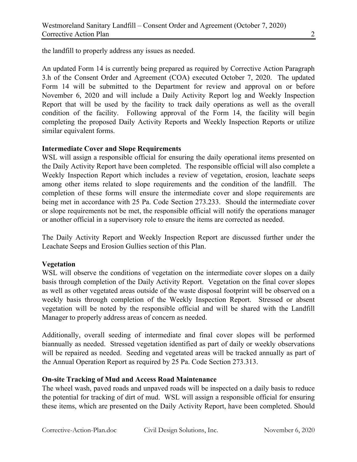the landfill to properly address any issues as needed.

An updated Form 14 is currently being prepared as required by Corrective Action Paragraph 3.h of the Consent Order and Agreement (COA) executed October 7, 2020. The updated Form 14 will be submitted to the Department for review and approval on or before November 6, 2020 and will include a Daily Activity Report log and Weekly Inspection Report that will be used by the facility to track daily operations as well as the overall condition of the facility. Following approval of the Form 14, the facility will begin completing the proposed Daily Activity Reports and Weekly Inspection Reports or utilize similar equivalent forms.

### **Intermediate Cover and Slope Requirements**

WSL will assign a responsible official for ensuring the daily operational items presented on the Daily Activity Report have been completed. The responsible official will also complete a Weekly Inspection Report which includes a review of vegetation, erosion, leachate seeps among other items related to slope requirements and the condition of the landfill. The completion of these forms will ensure the intermediate cover and slope requirements are being met in accordance with 25 Pa. Code Section 273.233. Should the intermediate cover or slope requirements not be met, the responsible official will notify the operations manager or another official in a supervisory role to ensure the items are corrected as needed.

The Daily Activity Report and Weekly Inspection Report are discussed further under the Leachate Seeps and Erosion Gullies section of this Plan.

### **Vegetation**

WSL will observe the conditions of vegetation on the intermediate cover slopes on a daily basis through completion of the Daily Activity Report. Vegetation on the final cover slopes as well as other vegetated areas outside of the waste disposal footprint will be observed on a weekly basis through completion of the Weekly Inspection Report. Stressed or absent vegetation will be noted by the responsible official and will be shared with the Landfill Manager to properly address areas of concern as needed.

Additionally, overall seeding of intermediate and final cover slopes will be performed biannually as needed. Stressed vegetation identified as part of daily or weekly observations will be repaired as needed. Seeding and vegetated areas will be tracked annually as part of the Annual Operation Report as required by 25 Pa. Code Section 273.313.

### **On-site Tracking of Mud and Access Road Maintenance**

The wheel wash, paved roads and unpaved roads will be inspected on a daily basis to reduce the potential for tracking of dirt of mud. WSL will assign a responsible official for ensuring these items, which are presented on the Daily Activity Report, have been completed. Should